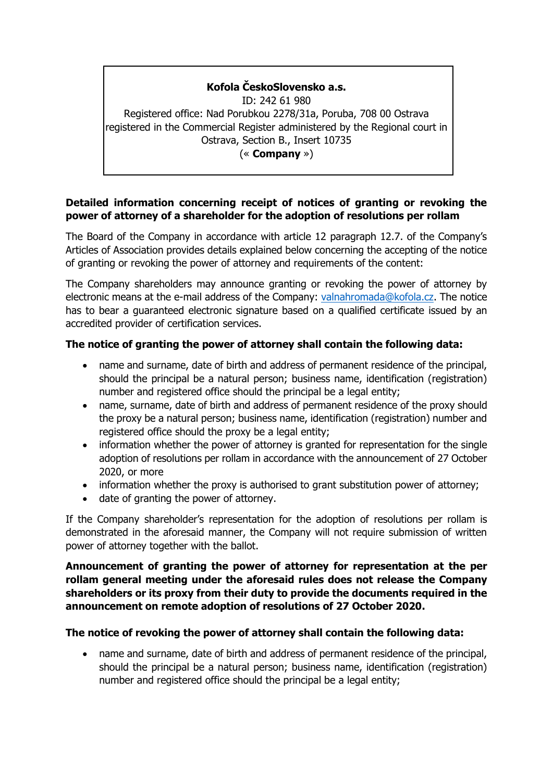# **Kofola ČeskoSlovensko a.s.**

ID: 242 61 980 Registered office: Nad Porubkou 2278/31a, Poruba, 708 00 Ostrava registered in the Commercial Register administered by the Regional court in Ostrava, Section B., Insert 10735 (« **Company** »)

### **Detailed information concerning receipt of notices of granting or revoking the power of attorney of a shareholder for the adoption of resolutions per rollam**

The Board of the Company in accordance with article 12 paragraph 12.7. of the Company's Articles of Association provides details explained below concerning the accepting of the notice of granting or revoking the power of attorney and requirements of the content:

The Company shareholders may announce granting or revoking the power of attorney by electronic means at the e-mail address of the Company: [valnahromada@kofola.cz.](mailto:valnahromada@kofola.cz) The notice has to bear a guaranteed electronic signature based on a qualified certificate issued by an accredited provider of certification services.

## **The notice of granting the power of attorney shall contain the following data:**

- name and surname, date of birth and address of permanent residence of the principal, should the principal be a natural person; business name, identification (registration) number and registered office should the principal be a legal entity;
- name, surname, date of birth and address of permanent residence of the proxy should the proxy be a natural person; business name, identification (registration) number and registered office should the proxy be a legal entity;
- information whether the power of attorney is granted for representation for the single adoption of resolutions per rollam in accordance with the announcement of 27 October 2020, or more
- information whether the proxy is authorised to grant substitution power of attorney;
- date of granting the power of attorney.

If the Company shareholder's representation for the adoption of resolutions per rollam is demonstrated in the aforesaid manner, the Company will not require submission of written power of attorney together with the ballot.

### **Announcement of granting the power of attorney for representation at the per rollam general meeting under the aforesaid rules does not release the Company shareholders or its proxy from their duty to provide the documents required in the announcement on remote adoption of resolutions of 27 October 2020.**

### **The notice of revoking the power of attorney shall contain the following data:**

• name and surname, date of birth and address of permanent residence of the principal, should the principal be a natural person; business name, identification (registration) number and registered office should the principal be a legal entity;